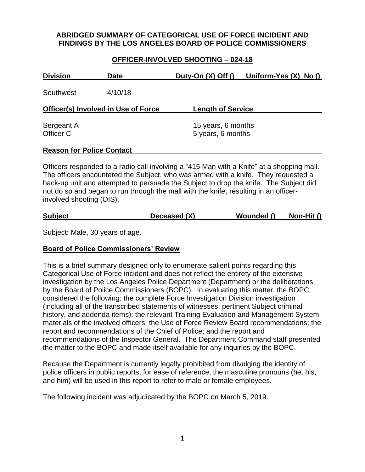## **ABRIDGED SUMMARY OF CATEGORICAL USE OF FORCE INCIDENT AND FINDINGS BY THE LOS ANGELES BOARD OF POLICE COMMISSIONERS**

#### **OFFICER-INVOLVED SHOOTING – 024-18**

| <b>Division</b>                            | <b>Date</b> | Duty-On $(X)$ Off $()$                  | Uniform-Yes $(X)$ No $()$ |
|--------------------------------------------|-------------|-----------------------------------------|---------------------------|
| Southwest                                  | 4/10/18     |                                         |                           |
| <b>Officer(s) Involved in Use of Force</b> |             | <b>Length of Service</b>                |                           |
| Sergeant A<br>Officer C                    |             | 15 years, 6 months<br>5 years, 6 months |                           |

#### **Reason for Police Contact**

Officers responded to a radio call involving a "415 Man with a Knife" at a shopping mall. The officers encountered the Subject, who was armed with a knife. They requested a back-up unit and attempted to persuade the Subject to drop the knife. The Subject did not do so and began to run through the mall with the knife, resulting in an officerinvolved shooting (OIS).

| Deceased (X)<br><b>Subject</b><br>Non-Hit ()<br>Wounded () |
|------------------------------------------------------------|
|------------------------------------------------------------|

Subject: Male, 30 years of age.

### **Board of Police Commissioners' Review**

This is a brief summary designed only to enumerate salient points regarding this Categorical Use of Force incident and does not reflect the entirety of the extensive investigation by the Los Angeles Police Department (Department) or the deliberations by the Board of Police Commissioners (BOPC). In evaluating this matter, the BOPC considered the following: the complete Force Investigation Division investigation (including all of the transcribed statements of witnesses, pertinent Subject criminal history, and addenda items); the relevant Training Evaluation and Management System materials of the involved officers; the Use of Force Review Board recommendations; the report and recommendations of the Chief of Police; and the report and recommendations of the Inspector General. The Department Command staff presented the matter to the BOPC and made itself available for any inquiries by the BOPC.

Because the Department is currently legally prohibited from divulging the identity of police officers in public reports, for ease of reference, the masculine pronouns (he, his, and him) will be used in this report to refer to male or female employees.

The following incident was adjudicated by the BOPC on March 5, 2019.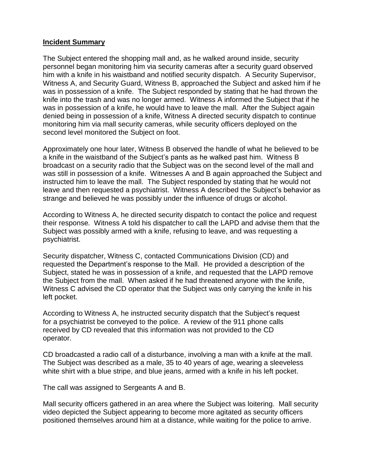### **Incident Summary**

The Subject entered the shopping mall and, as he walked around inside, security personnel began monitoring him via security cameras after a security guard observed him with a knife in his waistband and notified security dispatch. A Security Supervisor, Witness A, and Security Guard, Witness B, approached the Subject and asked him if he was in possession of a knife. The Subject responded by stating that he had thrown the knife into the trash and was no longer armed. Witness A informed the Subject that if he was in possession of a knife, he would have to leave the mall. After the Subject again denied being in possession of a knife, Witness A directed security dispatch to continue monitoring him via mall security cameras, while security officers deployed on the second level monitored the Subject on foot.

Approximately one hour later, Witness B observed the handle of what he believed to be a knife in the waistband of the Subject's pants as he walked past him. Witness B broadcast on a security radio that the Subject was on the second level of the mall and was still in possession of a knife. Witnesses A and B again approached the Subject and instructed him to leave the mall. The Subject responded by stating that he would not leave and then requested a psychiatrist. Witness A described the Subject's behavior as strange and believed he was possibly under the influence of drugs or alcohol.

According to Witness A, he directed security dispatch to contact the police and request their response*.* Witness A told his dispatcher to call the LAPD and advise them that the Subject was possibly armed with a knife, refusing to leave, and was requesting a psychiatrist.

Security dispatcher, Witness C, contacted Communications Division (CD) and requested the Department's response to the Mall. He provided a description of the Subject, stated he was in possession of a knife, and requested that the LAPD remove the Subject from the mall. When asked if he had threatened anyone with the knife, Witness C advised the CD operator that the Subject was only carrying the knife in his left pocket.

According to Witness A, he instructed security dispatch that the Subject's request for a psychiatrist be conveyed to the police. A review of the 911 phone calls received by CD revealed that this information was not provided to the CD operator.

CD broadcasted a radio call of a disturbance, involving a man with a knife at the mall. The Subject was described as a male, 35 to 40 years of age, wearing a sleeveless white shirt with a blue stripe, and blue jeans, armed with a knife in his left pocket.

The call was assigned to Sergeants A and B.

Mall security officers gathered in an area where the Subject was loitering. Mall security video depicted the Subject appearing to become more agitated as security officers positioned themselves around him at a distance, while waiting for the police to arrive.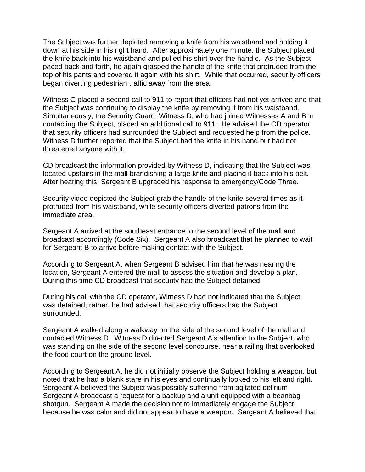The Subject was further depicted removing a knife from his waistband and holding it down at his side in his right hand. After approximately one minute, the Subject placed the knife back into his waistband and pulled his shirt over the handle. As the Subject paced back and forth, he again grasped the handle of the knife that protruded from the top of his pants and covered it again with his shirt. While that occurred, security officers began diverting pedestrian traffic away from the area.

Witness C placed a second call to 911 to report that officers had not yet arrived and that the Subject was continuing to display the knife by removing it from his waistband. Simultaneously, the Security Guard, Witness D, who had joined Witnesses A and B in contacting the Subject, placed an additional call to 911. He advised the CD operator that security officers had surrounded the Subject and requested help from the police. Witness D further reported that the Subject had the knife in his hand but had not threatened anyone with it.

CD broadcast the information provided by Witness D, indicating that the Subject was located upstairs in the mall brandishing a large knife and placing it back into his belt. After hearing this, Sergeant B upgraded his response to emergency/Code Three.

Security video depicted the Subject grab the handle of the knife several times as it protruded from his waistband, while security officers diverted patrons from the immediate area.

Sergeant A arrived at the southeast entrance to the second level of the mall and broadcast accordingly (Code Six). Sergeant A also broadcast that he planned to wait for Sergeant B to arrive before making contact with the Subject.

According to Sergeant A, when Sergeant B advised him that he was nearing the location, Sergeant A entered the mall to assess the situation and develop a plan. During this time CD broadcast that security had the Subject detained.

During his call with the CD operator, Witness D had not indicated that the Subject was detained; rather, he had advised that security officers had the Subject surrounded.

Sergeant A walked along a walkway on the side of the second level of the mall and contacted Witness D. Witness D directed Sergeant A's attention to the Subject, who was standing on the side of the second level concourse, near a railing that overlooked the food court on the ground level.

According to Sergeant A, he did not initially observe the Subject holding a weapon, but noted that he had a blank stare in his eyes and continually looked to his left and right. Sergeant A believed the Subject was possibly suffering from agitated delirium. Sergeant A broadcast a request for a backup and a unit equipped with a beanbag shotgun. Sergeant A made the decision not to immediately engage the Subject, because he was calm and did not appear to have a weapon. Sergeant A believed that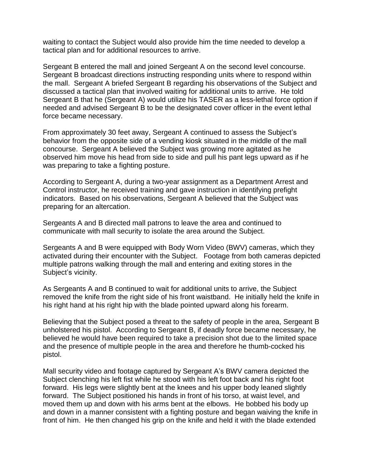waiting to contact the Subject would also provide him the time needed to develop a tactical plan and for additional resources to arrive.

Sergeant B entered the mall and joined Sergeant A on the second level concourse. Sergeant B broadcast directions instructing responding units where to respond within the mall. Sergeant A briefed Sergeant B regarding his observations of the Subject and discussed a tactical plan that involved waiting for additional units to arrive. He told Sergeant B that he (Sergeant A) would utilize his TASER as a less-lethal force option if needed and advised Sergeant B to be the designated cover officer in the event lethal force became necessary.

From approximately 30 feet away, Sergeant A continued to assess the Subject's behavior from the opposite side of a vending kiosk situated in the middle of the mall concourse. Sergeant A believed the Subject was growing more agitated as he observed him move his head from side to side and pull his pant legs upward as if he was preparing to take a fighting posture.

According to Sergeant A, during a two-year assignment as a Department Arrest and Control instructor, he received training and gave instruction in identifying prefight indicators. Based on his observations, Sergeant A believed that the Subject was preparing for an altercation.

Sergeants A and B directed mall patrons to leave the area and continued to communicate with mall security to isolate the area around the Subject.

Sergeants A and B were equipped with Body Worn Video (BWV) cameras, which they activated during their encounter with the Subject. Footage from both cameras depicted multiple patrons walking through the mall and entering and exiting stores in the Subject's vicinity.

As Sergeants A and B continued to wait for additional units to arrive, the Subject removed the knife from the right side of his front waistband. He initially held the knife in his right hand at his right hip with the blade pointed upward along his forearm.

Believing that the Subject posed a threat to the safety of people in the area, Sergeant B unholstered his pistol. According to Sergeant B, if deadly force became necessary, he believed he would have been required to take a precision shot due to the limited space and the presence of multiple people in the area and therefore he thumb-cocked his pistol.

Mall security video and footage captured by Sergeant A's BWV camera depicted the Subject clenching his left fist while he stood with his left foot back and his right foot forward. His legs were slightly bent at the knees and his upper body leaned slightly forward. The Subject positioned his hands in front of his torso, at waist level, and moved them up and down with his arms bent at the elbows. He bobbed his body up and down in a manner consistent with a fighting posture and began waiving the knife in front of him. He then changed his grip on the knife and held it with the blade extended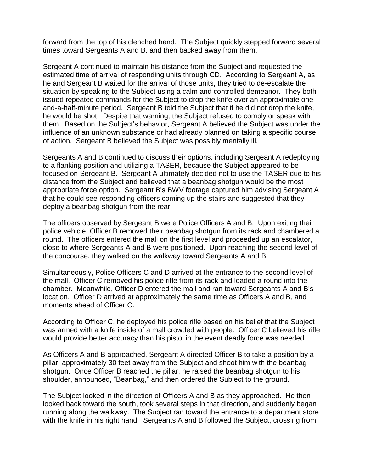forward from the top of his clenched hand. The Subject quickly stepped forward several times toward Sergeants A and B, and then backed away from them.

Sergeant A continued to maintain his distance from the Subject and requested the estimated time of arrival of responding units through CD. According to Sergeant A, as he and Sergeant B waited for the arrival of those units, they tried to de-escalate the situation by speaking to the Subject using a calm and controlled demeanor. They both issued repeated commands for the Subject to drop the knife over an approximate one and-a-half-minute period. Sergeant B told the Subject that if he did not drop the knife, he would be shot. Despite that warning, the Subject refused to comply or speak with them. Based on the Subject's behavior, Sergeant A believed the Subject was under the influence of an unknown substance or had already planned on taking a specific course of action. Sergeant B believed the Subject was possibly mentally ill.

Sergeants A and B continued to discuss their options, including Sergeant A redeploying to a flanking position and utilizing a TASER, because the Subject appeared to be focused on Sergeant B. Sergeant A ultimately decided not to use the TASER due to his distance from the Subject and believed that a beanbag shotgun would be the most appropriate force option. Sergeant B's BWV footage captured him advising Sergeant A that he could see responding officers coming up the stairs and suggested that they deploy a beanbag shotgun from the rear.

The officers observed by Sergeant B were Police Officers A and B. Upon exiting their police vehicle, Officer B removed their beanbag shotgun from its rack and chambered a round. The officers entered the mall on the first level and proceeded up an escalator, close to where Sergeants A and B were positioned. Upon reaching the second level of the concourse, they walked on the walkway toward Sergeants A and B.

Simultaneously, Police Officers C and D arrived at the entrance to the second level of the mall. Officer C removed his police rifle from its rack and loaded a round into the chamber. Meanwhile, Officer D entered the mall and ran toward Sergeants A and B's location. Officer D arrived at approximately the same time as Officers A and B, and moments ahead of Officer C.

According to Officer C, he deployed his police rifle based on his belief that the Subject was armed with a knife inside of a mall crowded with people. Officer C believed his rifle would provide better accuracy than his pistol in the event deadly force was needed.

As Officers A and B approached, Sergeant A directed Officer B to take a position by a pillar, approximately 30 feet away from the Subject and shoot him with the beanbag shotgun. Once Officer B reached the pillar, he raised the beanbag shotgun to his shoulder, announced, "Beanbag," and then ordered the Subject to the ground.

The Subject looked in the direction of Officers A and B as they approached. He then looked back toward the south, took several steps in that direction, and suddenly began running along the walkway. The Subject ran toward the entrance to a department store with the knife in his right hand. Sergeants A and B followed the Subject, crossing from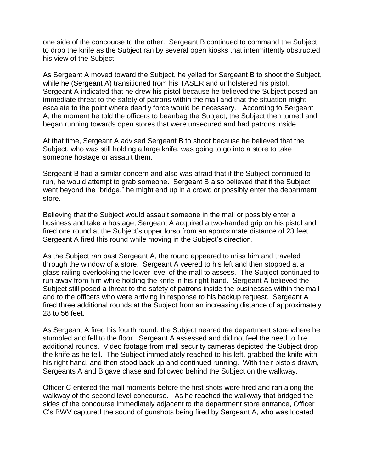one side of the concourse to the other. Sergeant B continued to command the Subject to drop the knife as the Subject ran by several open kiosks that intermittently obstructed his view of the Subject.

As Sergeant A moved toward the Subject, he yelled for Sergeant B to shoot the Subject, while he (Sergeant A) transitioned from his TASER and unholstered his pistol. Sergeant A indicated that he drew his pistol because he believed the Subject posed an immediate threat to the safety of patrons within the mall and that the situation might escalate to the point where deadly force would be necessary. According to Sergeant A, the moment he told the officers to beanbag the Subject, the Subject then turned and began running towards open stores that were unsecured and had patrons inside.

At that time, Sergeant A advised Sergeant B to shoot because he believed that the Subject, who was still holding a large knife, was going to go into a store to take someone hostage or assault them.

Sergeant B had a similar concern and also was afraid that if the Subject continued to run, he would attempt to grab someone. Sergeant B also believed that if the Subject went beyond the "bridge," he might end up in a crowd or possibly enter the department store.

Believing that the Subject would assault someone in the mall or possibly enter a business and take a hostage, Sergeant A acquired a two-handed grip on his pistol and fired one round at the Subject's upper torso from an approximate distance of 23 feet. Sergeant A fired this round while moving in the Subject's direction.

As the Subject ran past Sergeant A, the round appeared to miss him and traveled through the window of a store. Sergeant A veered to his left and then stopped at a glass railing overlooking the lower level of the mall to assess. The Subject continued to run away from him while holding the knife in his right hand. Sergeant A believed the Subject still posed a threat to the safety of patrons inside the businesses within the mall and to the officers who were arriving in response to his backup request. Sergeant A fired three additional rounds at the Subject from an increasing distance of approximately 28 to 56 feet.

As Sergeant A fired his fourth round, the Subject neared the department store where he stumbled and fell to the floor. Sergeant A assessed and did not feel the need to fire additional rounds. Video footage from mall security cameras depicted the Subject drop the knife as he fell. The Subject immediately reached to his left, grabbed the knife with his right hand, and then stood back up and continued running. With their pistols drawn, Sergeants A and B gave chase and followed behind the Subject on the walkway.

Officer C entered the mall moments before the first shots were fired and ran along the walkway of the second level concourse. As he reached the walkway that bridged the sides of the concourse immediately adjacent to the department store entrance, Officer C's BWV captured the sound of gunshots being fired by Sergeant A, who was located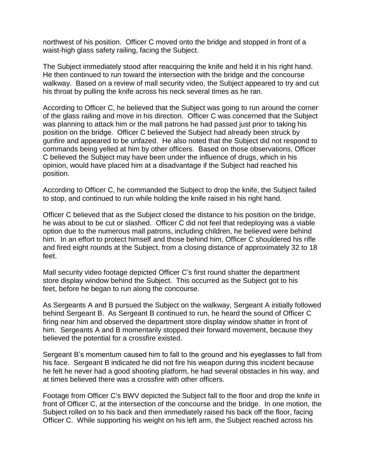northwest of his position. Officer C moved onto the bridge and stopped in front of a waist-high glass safety railing, facing the Subject.

The Subject immediately stood after reacquiring the knife and held it in his right hand. He then continued to run toward the intersection with the bridge and the concourse walkway. Based on a review of mall security video, the Subject appeared to try and cut his throat by pulling the knife across his neck several times as he ran.

According to Officer C, he believed that the Subject was going to run around the corner of the glass railing and move in his direction. Officer C was concerned that the Subject was planning to attack him or the mall patrons he had passed just prior to taking his position on the bridge. Officer C believed the Subject had already been struck by gunfire and appeared to be unfazed. He also noted that the Subject did not respond to commands being yelled at him by other officers. Based on those observations, Officer C believed the Subject may have been under the influence of drugs, which in his opinion, would have placed him at a disadvantage if the Subject had reached his position.

According to Officer C, he commanded the Subject to drop the knife, the Subject failed to stop, and continued to run while holding the knife raised in his right hand.

Officer C believed that as the Subject closed the distance to his position on the bridge, he was about to be cut or slashed. Officer C did not feel that redeploying was a viable option due to the numerous mall patrons, including children, he believed were behind him. In an effort to protect himself and those behind him, Officer C shouldered his rifle and fired eight rounds at the Subject, from a closing distance of approximately 32 to 18 feet.

Mall security video footage depicted Officer C's first round shatter the department store display window behind the Subject. This occurred as the Subject got to his feet, before he began to run along the concourse.

As Sergeants A and B pursued the Subject on the walkway, Sergeant A initially followed behind Sergeant B. As Sergeant B continued to run, he heard the sound of Officer C firing near him and observed the department store display window shatter in front of him. Sergeants A and B momentarily stopped their forward movement, because they believed the potential for a crossfire existed.

Sergeant B's momentum caused him to fall to the ground and his eyeglasses to fall from his face. Sergeant B indicated he did not fire his weapon during this incident because he felt he never had a good shooting platform, he had several obstacles in his way, and at times believed there was a crossfire with other officers.

Footage from Officer C's BWV depicted the Subject fall to the floor and drop the knife in front of Officer C, at the intersection of the concourse and the bridge. In one motion, the Subject rolled on to his back and then immediately raised his back off the floor, facing Officer C. While supporting his weight on his left arm, the Subject reached across his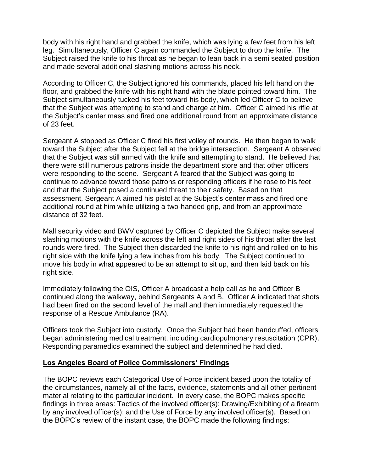body with his right hand and grabbed the knife, which was lying a few feet from his left leg. Simultaneously, Officer C again commanded the Subject to drop the knife. The Subject raised the knife to his throat as he began to lean back in a semi seated position and made several additional slashing motions across his neck.

According to Officer C, the Subject ignored his commands, placed his left hand on the floor, and grabbed the knife with his right hand with the blade pointed toward him. The Subject simultaneously tucked his feet toward his body, which led Officer C to believe that the Subject was attempting to stand and charge at him. Officer C aimed his rifle at the Subject's center mass and fired one additional round from an approximate distance of 23 feet.

Sergeant A stopped as Officer C fired his first volley of rounds. He then began to walk toward the Subject after the Subject fell at the bridge intersection. Sergeant A observed that the Subject was still armed with the knife and attempting to stand. He believed that there were still numerous patrons inside the department store and that other officers were responding to the scene. Sergeant A feared that the Subject was going to continue to advance toward those patrons or responding officers if he rose to his feet and that the Subject posed a continued threat to their safety. Based on that assessment, Sergeant A aimed his pistol at the Subject's center mass and fired one additional round at him while utilizing a two-handed grip, and from an approximate distance of 32 feet.

Mall security video and BWV captured by Officer C depicted the Subject make several slashing motions with the knife across the left and right sides of his throat after the last rounds were fired. The Subject then discarded the knife to his right and rolled on to his right side with the knife lying a few inches from his body. The Subject continued to move his body in what appeared to be an attempt to sit up, and then laid back on his right side.

Immediately following the OIS, Officer A broadcast a help call as he and Officer B continued along the walkway, behind Sergeants A and B. Officer A indicated that shots had been fired on the second level of the mall and then immediately requested the response of a Rescue Ambulance (RA).

Officers took the Subject into custody. Once the Subject had been handcuffed, officers began administering medical treatment, including cardiopulmonary resuscitation (CPR). Responding paramedics examined the subject and determined he had died.

### **Los Angeles Board of Police Commissioners' Findings**

The BOPC reviews each Categorical Use of Force incident based upon the totality of the circumstances, namely all of the facts, evidence, statements and all other pertinent material relating to the particular incident. In every case, the BOPC makes specific findings in three areas: Tactics of the involved officer(s); Drawing/Exhibiting of a firearm by any involved officer(s); and the Use of Force by any involved officer(s). Based on the BOPC's review of the instant case, the BOPC made the following findings: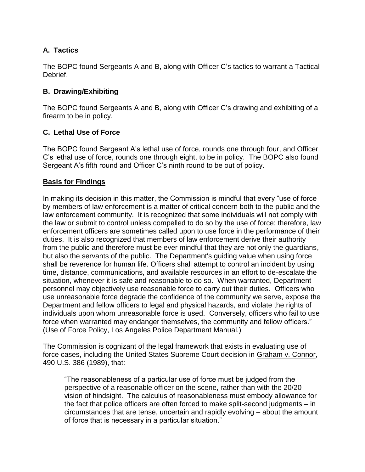# **A. Tactics**

The BOPC found Sergeants A and B, along with Officer C's tactics to warrant a Tactical Debrief.

# **B. Drawing/Exhibiting**

The BOPC found Sergeants A and B, along with Officer C's drawing and exhibiting of a firearm to be in policy.

# **C. Lethal Use of Force**

The BOPC found Sergeant A's lethal use of force, rounds one through four, and Officer C's lethal use of force, rounds one through eight, to be in policy. The BOPC also found Sergeant A's fifth round and Officer C's ninth round to be out of policy.

## **Basis for Findings**

In making its decision in this matter, the Commission is mindful that every "use of force by members of law enforcement is a matter of critical concern both to the public and the law enforcement community. It is recognized that some individuals will not comply with the law or submit to control unless compelled to do so by the use of force; therefore, law enforcement officers are sometimes called upon to use force in the performance of their duties. It is also recognized that members of law enforcement derive their authority from the public and therefore must be ever mindful that they are not only the guardians, but also the servants of the public. The Department's guiding value when using force shall be reverence for human life. Officers shall attempt to control an incident by using time, distance, communications, and available resources in an effort to de-escalate the situation, whenever it is safe and reasonable to do so. When warranted, Department personnel may objectively use reasonable force to carry out their duties. Officers who use unreasonable force degrade the confidence of the community we serve, expose the Department and fellow officers to legal and physical hazards, and violate the rights of individuals upon whom unreasonable force is used. Conversely, officers who fail to use force when warranted may endanger themselves, the community and fellow officers." (Use of Force Policy, Los Angeles Police Department Manual.)

The Commission is cognizant of the legal framework that exists in evaluating use of force cases, including the United States Supreme Court decision in Graham v. Connor, 490 U.S. 386 (1989), that:

"The reasonableness of a particular use of force must be judged from the perspective of a reasonable officer on the scene, rather than with the 20/20 vision of hindsight. The calculus of reasonableness must embody allowance for the fact that police officers are often forced to make split-second judgments – in circumstances that are tense, uncertain and rapidly evolving – about the amount of force that is necessary in a particular situation."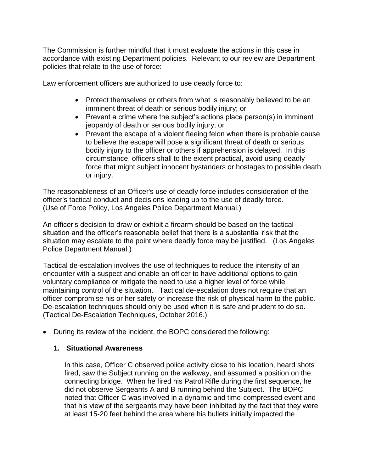The Commission is further mindful that it must evaluate the actions in this case in accordance with existing Department policies. Relevant to our review are Department policies that relate to the use of force:

Law enforcement officers are authorized to use deadly force to:

- Protect themselves or others from what is reasonably believed to be an imminent threat of death or serious bodily injury; or
- Prevent a crime where the subject's actions place person(s) in imminent jeopardy of death or serious bodily injury; or
- Prevent the escape of a violent fleeing felon when there is probable cause to believe the escape will pose a significant threat of death or serious bodily injury to the officer or others if apprehension is delayed. In this circumstance, officers shall to the extent practical, avoid using deadly force that might subject innocent bystanders or hostages to possible death or injury.

The reasonableness of an Officer's use of deadly force includes consideration of the officer's tactical conduct and decisions leading up to the use of deadly force. (Use of Force Policy, Los Angeles Police Department Manual.)

An officer's decision to draw or exhibit a firearm should be based on the tactical situation and the officer's reasonable belief that there is a substantial risk that the situation may escalate to the point where deadly force may be justified. (Los Angeles Police Department Manual.)

Tactical de-escalation involves the use of techniques to reduce the intensity of an encounter with a suspect and enable an officer to have additional options to gain voluntary compliance or mitigate the need to use a higher level of force while maintaining control of the situation. Tactical de-escalation does not require that an officer compromise his or her safety or increase the risk of physical harm to the public. De-escalation techniques should only be used when it is safe and prudent to do so. (Tactical De-Escalation Techniques, October 2016.)

• During its review of the incident, the BOPC considered the following:

#### **1. Situational Awareness**

In this case, Officer C observed police activity close to his location, heard shots fired, saw the Subject running on the walkway, and assumed a position on the connecting bridge. When he fired his Patrol Rifle during the first sequence, he did not observe Sergeants A and B running behind the Subject. The BOPC noted that Officer C was involved in a dynamic and time-compressed event and that his view of the sergeants may have been inhibited by the fact that they were at least 15-20 feet behind the area where his bullets initially impacted the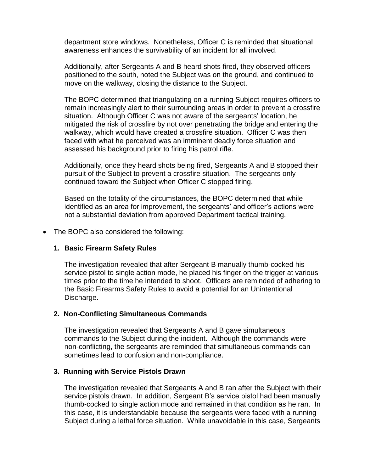department store windows. Nonetheless, Officer C is reminded that situational awareness enhances the survivability of an incident for all involved.

Additionally, after Sergeants A and B heard shots fired, they observed officers positioned to the south, noted the Subject was on the ground, and continued to move on the walkway, closing the distance to the Subject.

The BOPC determined that triangulating on a running Subject requires officers to remain increasingly alert to their surrounding areas in order to prevent a crossfire situation. Although Officer C was not aware of the sergeants' location, he mitigated the risk of crossfire by not over penetrating the bridge and entering the walkway, which would have created a crossfire situation. Officer C was then faced with what he perceived was an imminent deadly force situation and assessed his background prior to firing his patrol rifle.

Additionally, once they heard shots being fired, Sergeants A and B stopped their pursuit of the Subject to prevent a crossfire situation. The sergeants only continued toward the Subject when Officer C stopped firing.

Based on the totality of the circumstances, the BOPC determined that while identified as an area for improvement, the sergeants' and officer's actions were not a substantial deviation from approved Department tactical training.

• The BOPC also considered the following:

### **1. Basic Firearm Safety Rules**

The investigation revealed that after Sergeant B manually thumb-cocked his service pistol to single action mode, he placed his finger on the trigger at various times prior to the time he intended to shoot. Officers are reminded of adhering to the Basic Firearms Safety Rules to avoid a potential for an Unintentional Discharge.

### **2. Non-Conflicting Simultaneous Commands**

The investigation revealed that Sergeants A and B gave simultaneous commands to the Subject during the incident. Although the commands were non-conflicting, the sergeants are reminded that simultaneous commands can sometimes lead to confusion and non-compliance.

#### **3. Running with Service Pistols Drawn**

The investigation revealed that Sergeants A and B ran after the Subject with their service pistols drawn. In addition, Sergeant B's service pistol had been manually thumb-cocked to single action mode and remained in that condition as he ran. In this case, it is understandable because the sergeants were faced with a running Subject during a lethal force situation. While unavoidable in this case, Sergeants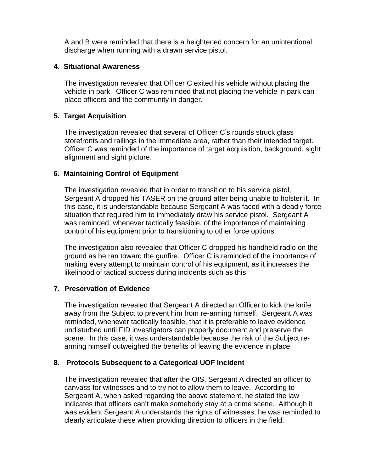A and B were reminded that there is a heightened concern for an unintentional discharge when running with a drawn service pistol.

# **4. Situational Awareness**

The investigation revealed that Officer C exited his vehicle without placing the vehicle in park. Officer C was reminded that not placing the vehicle in park can place officers and the community in danger.

### **5. Target Acquisition**

The investigation revealed that several of Officer C's rounds struck glass storefronts and railings in the immediate area, rather than their intended target. Officer C was reminded of the importance of target acquisition, background, sight alignment and sight picture.

### **6. Maintaining Control of Equipment**

The investigation revealed that in order to transition to his service pistol, Sergeant A dropped his TASER on the ground after being unable to holster it. In this case, it is understandable because Sergeant A was faced with a deadly force situation that required him to immediately draw his service pistol. Sergeant A was reminded, whenever tactically feasible, of the importance of maintaining control of his equipment prior to transitioning to other force options.

The investigation also revealed that Officer C dropped his handheld radio on the ground as he ran toward the gunfire. Officer C is reminded of the importance of making every attempt to maintain control of his equipment, as it increases the likelihood of tactical success during incidents such as this.

### **7. Preservation of Evidence**

The investigation revealed that Sergeant A directed an Officer to kick the knife away from the Subject to prevent him from re-arming himself. Sergeant A was reminded, whenever tactically feasible, that it is preferable to leave evidence undisturbed until FID investigators can properly document and preserve the scene. In this case, it was understandable because the risk of the Subject rearming himself outweighed the benefits of leaving the evidence in place.

### **8. Protocols Subsequent to a Categorical UOF Incident**

The investigation revealed that after the OIS, Sergeant A directed an officer to canvass for witnesses and to try not to allow them to leave. According to Sergeant A, when asked regarding the above statement, he stated the law indicates that officers can't make somebody stay at a crime scene. Although it was evident Sergeant A understands the rights of witnesses, he was reminded to clearly articulate these when providing direction to officers in the field.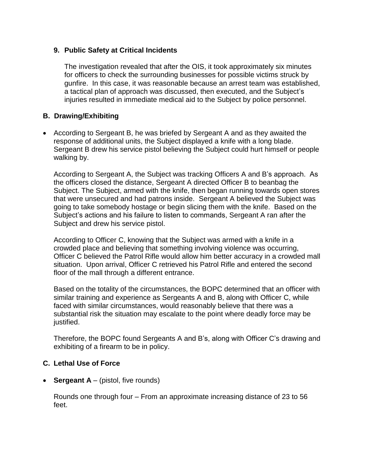## **9. Public Safety at Critical Incidents**

The investigation revealed that after the OIS, it took approximately six minutes for officers to check the surrounding businesses for possible victims struck by gunfire. In this case, it was reasonable because an arrest team was established, a tactical plan of approach was discussed, then executed, and the Subject's injuries resulted in immediate medical aid to the Subject by police personnel.

## **B. Drawing/Exhibiting**

• According to Sergeant B, he was briefed by Sergeant A and as they awaited the response of additional units, the Subject displayed a knife with a long blade. Sergeant B drew his service pistol believing the Subject could hurt himself or people walking by.

According to Sergeant A, the Subject was tracking Officers A and B's approach. As the officers closed the distance, Sergeant A directed Officer B to beanbag the Subject. The Subject, armed with the knife, then began running towards open stores that were unsecured and had patrons inside. Sergeant A believed the Subject was going to take somebody hostage or begin slicing them with the knife. Based on the Subject's actions and his failure to listen to commands, Sergeant A ran after the Subject and drew his service pistol.

According to Officer C, knowing that the Subject was armed with a knife in a crowded place and believing that something involving violence was occurring, Officer C believed the Patrol Rifle would allow him better accuracy in a crowded mall situation. Upon arrival, Officer C retrieved his Patrol Rifle and entered the second floor of the mall through a different entrance.

Based on the totality of the circumstances, the BOPC determined that an officer with similar training and experience as Sergeants A and B, along with Officer C, while faced with similar circumstances, would reasonably believe that there was a substantial risk the situation may escalate to the point where deadly force may be justified.

Therefore, the BOPC found Sergeants A and B's, along with Officer C's drawing and exhibiting of a firearm to be in policy.

### **C. Lethal Use of Force**

• **Sergeant A** – (pistol, five rounds)

Rounds one through four – From an approximate increasing distance of 23 to 56 feet.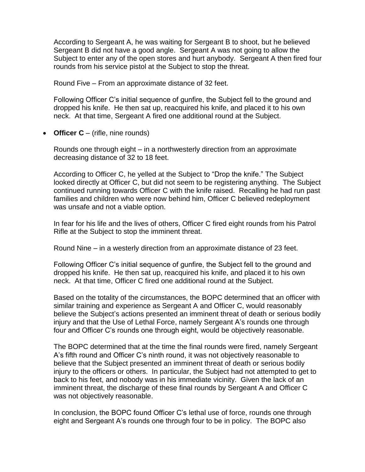According to Sergeant A, he was waiting for Sergeant B to shoot, but he believed Sergeant B did not have a good angle. Sergeant A was not going to allow the Subject to enter any of the open stores and hurt anybody. Sergeant A then fired four rounds from his service pistol at the Subject to stop the threat.

Round Five – From an approximate distance of 32 feet.

Following Officer C's initial sequence of gunfire, the Subject fell to the ground and dropped his knife. He then sat up, reacquired his knife, and placed it to his own neck. At that time, Sergeant A fired one additional round at the Subject.

• **Officer C** – (rifle, nine rounds)

Rounds one through eight – in a northwesterly direction from an approximate decreasing distance of 32 to 18 feet.

According to Officer C, he yelled at the Subject to "Drop the knife." The Subject looked directly at Officer C, but did not seem to be registering anything. The Subject continued running towards Officer C with the knife raised. Recalling he had run past families and children who were now behind him, Officer C believed redeployment was unsafe and not a viable option.

In fear for his life and the lives of others, Officer C fired eight rounds from his Patrol Rifle at the Subject to stop the imminent threat.

Round Nine – in a westerly direction from an approximate distance of 23 feet.

Following Officer C's initial sequence of gunfire, the Subject fell to the ground and dropped his knife. He then sat up, reacquired his knife, and placed it to his own neck. At that time, Officer C fired one additional round at the Subject.

Based on the totality of the circumstances, the BOPC determined that an officer with similar training and experience as Sergeant A and Officer C, would reasonably believe the Subject's actions presented an imminent threat of death or serious bodily injury and that the Use of Lethal Force, namely Sergeant A's rounds one through four and Officer C's rounds one through eight, would be objectively reasonable.

The BOPC determined that at the time the final rounds were fired, namely Sergeant A's fifth round and Officer C's ninth round, it was not objectively reasonable to believe that the Subject presented an imminent threat of death or serious bodily injury to the officers or others. In particular, the Subject had not attempted to get to back to his feet, and nobody was in his immediate vicinity. Given the lack of an imminent threat, the discharge of these final rounds by Sergeant A and Officer C was not objectively reasonable.

In conclusion, the BOPC found Officer C's lethal use of force, rounds one through eight and Sergeant A's rounds one through four to be in policy. The BOPC also